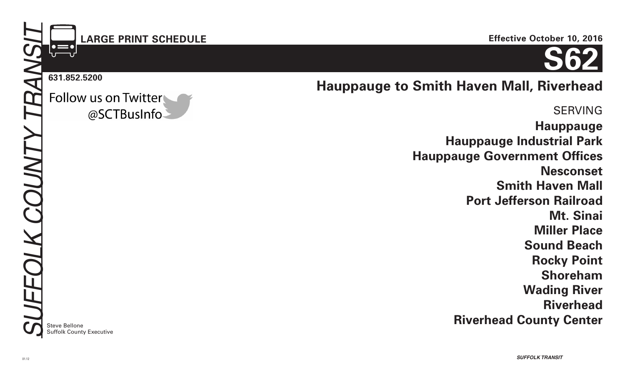# **LARGE PRINT SCHEDULE**

**631.852.5200**

Follow us on Twitter @SCTBusInfo

**Steve Bellone** Suffolk County Executive **Effective October 10, 2016**

**S62**

**Hauppauge to Smith Haven Mall, Riverhead**

SERVING **Hauppauge Hauppauge Industrial Park Hauppauge Government Offices Nesconset Smith Haven Mall Port Jefferson Railroad Mt. Sinai Miller Place Sound Beach Rocky Point Shoreham Wading River Riverhead Riverhead County Center** 3.26.12\_grayscale tint increase request from SC Print Shop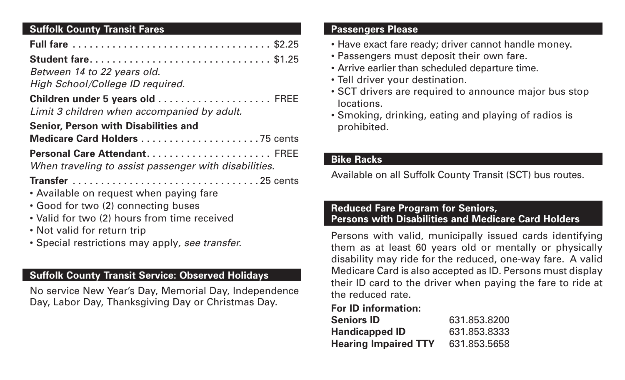## **Suffolk County Transit Fares**

| <b>Student fare \$1.25</b>                            |
|-------------------------------------------------------|
| Between 14 to 22 years old.                           |
| High School/College ID required.                      |
| Limit 3 children when accompanied by adult.           |
| <b>Senior, Person with Disabilities and</b>           |
|                                                       |
|                                                       |
| When traveling to assist passenger with disabilities. |
|                                                       |
| • Available on request when paying fare               |
| • Good for two (2) connecting buses                   |
| • Valid for two (2) hours from time received          |
| • Not valid for return trip                           |
| • Special restrictions may apply, see transfer.       |

## **Suffolk County Transit Service: Observed Holidays**

No service New Year's Day, Memorial Day, Independence Day, Labor Day, Thanksgiving Day or Christmas Day.

#### **Passengers Please**

- Have exact fare ready; driver cannot handle money.
- Passengers must deposit their own fare.
- Arrive earlier than scheduled departure time.
- Tell driver your destination.
- SCT drivers are required to announce major bus stop locations.
- Smoking, drinking, eating and playing of radios is prohibited.

## **Bike Racks**

Available on all Suffolk County Transit (SCT) bus routes.

### **Reduced Fare Program for Seniors, Persons with Disabilities and Medicare Card Holders**

Persons with valid, municipally issued cards identifying them as at least 60 years old or mentally or physically disability may ride for the reduced, one-way fare. A valid Medicare Card is also accepted as ID. Persons must display their ID card to the driver when paying the fare to ride at the reduced rate.

## **For ID information:**

| <b>Seniors ID</b>           | 631.853.8200 |
|-----------------------------|--------------|
| <b>Handicapped ID</b>       | 631.853.8333 |
| <b>Hearing Impaired TTY</b> | 631.853.5658 |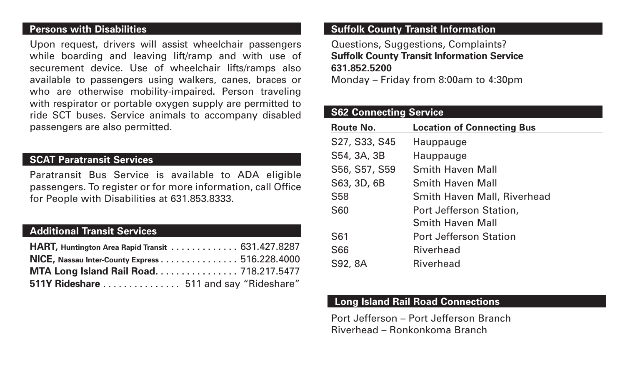#### **Persons with Disabilities**

Upon request, drivers will assist wheelchair passengers while boarding and leaving lift/ramp and with use of securement device. Use of wheelchair lifts/ramps also available to passengers using walkers, canes, braces or who are otherwise mobility-impaired. Person traveling with respirator or portable oxygen supply are permitted to ride SCT buses. Service animals to accompany disabled passengers are also permitted.

#### **SCAT Paratransit Services**

Paratransit Bus Service is available to ADA eligible passengers. To register or for more information, call Office for People with Disabilities at 631.853.8333.

### **Additional Transit Services**

| HART, Huntington Area Rapid Transit 631.427.8287 |  |
|--------------------------------------------------|--|
| NICE, Nassau Inter-County Express 516.228.4000   |  |
| MTA Long Island Rail Road 718.217.5477           |  |
| 511Y Rideshare  511 and say "Rideshare"          |  |

## **Suffolk County Transit Information**

Questions, Suggestions, Complaints? **Suffolk County Transit Information Service 631.852.5200**

Monday – Friday from 8:00am to 4:30pm

## **S62 Connecting Service**

| Route No.       | <b>Location of Connecting Bus</b>  |
|-----------------|------------------------------------|
| S27, S33, S45   | Hauppauge                          |
| S54, 3A, 3B     | Hauppauge                          |
| S56, S57, S59   | <b>Smith Haven Mall</b>            |
| S63, 3D, 6B     | <b>Smith Haven Mall</b>            |
| <b>S58</b>      | <b>Smith Haven Mall, Riverhead</b> |
| <b>S60</b>      | Port Jefferson Station,            |
|                 | <b>Smith Haven Mall</b>            |
| S <sub>61</sub> | <b>Port Jefferson Station</b>      |
| <b>S66</b>      | <b>Riverhead</b>                   |
| S92, 8A         | <b>Riverhead</b>                   |

### **Long Island Rail Road Connections**

Port Jefferson – Port Jefferson Branch Riverhead – Ronkonkoma Branch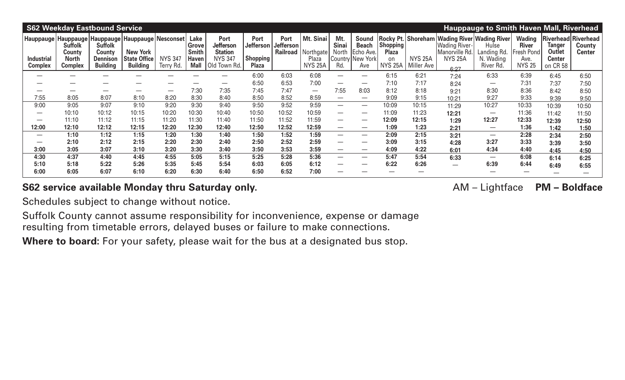|                              | <b>S62 Weekday Eastbound Service</b><br><b>Hauppauge to Smith Haven Mall, Riverhead</b> |                                                                |                                                                                                                        |                             |                                                              |                                                                                     |                                                      |                   |                                                                      |                                     |                                                               |                                                   |                              |                                                                                                                  |                                                |                                                                      |                                               |                                                |
|------------------------------|-----------------------------------------------------------------------------------------|----------------------------------------------------------------|------------------------------------------------------------------------------------------------------------------------|-----------------------------|--------------------------------------------------------------|-------------------------------------------------------------------------------------|------------------------------------------------------|-------------------|----------------------------------------------------------------------|-------------------------------------|---------------------------------------------------------------|---------------------------------------------------|------------------------------|------------------------------------------------------------------------------------------------------------------|------------------------------------------------|----------------------------------------------------------------------|-----------------------------------------------|------------------------------------------------|
| Industrial<br><b>Complex</b> | <b>Suffolk</b><br>Countv<br><b>North</b><br><b>Complex</b>                              | <b>Suffolk</b><br>County<br><b>Dennison</b><br><b>Building</b> | Hauppauge   Hauppauge   Hauppauge   Hauppauge   Nesconset<br><b>New York</b><br><b>State Office</b><br><b>Building</b> | <b>NYS 347</b><br>Terry Rd. | Lake<br>Grove<br><b>Smith</b><br><b>Haven</b><br><b>Mall</b> | <b>Port</b><br><b>Jefferson</b><br><b>Station</b><br><b>NYS 347</b><br>Old Town Rd. | Port<br>Jefferson<br><b>Shopping</b><br><b>Plaza</b> | Port<br>Jefferson | Mt. Sinai<br><b>Railroad   Northgate!</b><br>Plaza<br><b>NYS 25A</b> | Mt.<br><b>Sinai</b><br>North<br>Rd. | Sound<br><b>Beach</b><br>Echo Ave.<br>Country New York<br>Ave | Shopping!<br><b>Plaza</b><br>on<br><b>NYS 25A</b> | <b>NYS 25A</b><br>Miller Ave | <b>Rocky Pt. Shoreham Wading River Wading River</b><br>Wading River-<br>Manorville Rd.<br><b>NYS 25A</b><br>6:27 | Hulse<br>Landing Rd.<br>N. Wading<br>River Rd. | <b>Wading</b><br><b>River</b><br>Fresh Pond<br>Ave.<br><b>NYS 25</b> | Tanger<br>Outlet<br><b>Center</b><br>on CR 58 | <b>Riverhead Riverhead</b><br>County<br>Center |
|                              |                                                                                         |                                                                |                                                                                                                        |                             |                                                              |                                                                                     | 6:00                                                 | 6:03              | 6:08                                                                 |                                     | —                                                             | 6:15                                              | 6:21                         | 7:24                                                                                                             | 6:33                                           | 6:39                                                                 | 6:45                                          | 6:50                                           |
|                              |                                                                                         |                                                                |                                                                                                                        | _                           | _                                                            |                                                                                     | 6:50                                                 | 6:53              | 7:00                                                                 | $\hspace{0.1mm}-\hspace{0.1mm}$     |                                                               | 7:10                                              | 7:17                         | 8:24                                                                                                             |                                                | 7:31                                                                 | 7:37                                          | 7:50                                           |
|                              |                                                                                         |                                                                |                                                                                                                        | —                           | 7:30                                                         | 7:35                                                                                | 7:45                                                 | 7:47              |                                                                      | 7:55                                | 8:03                                                          | 8:12                                              | 8:18                         | 9:21                                                                                                             | 8:30                                           | 8:36                                                                 | 8:42                                          | 8:50                                           |
| 7:55                         | 8:05                                                                                    | 8:07                                                           | 8:10                                                                                                                   | 8:20                        | 8:30                                                         | 8:40                                                                                | 8:50                                                 | 8:52              | 8:59                                                                 | $\overline{\phantom{m}}$            |                                                               | 9:09                                              | 9:15                         | 10:21                                                                                                            | 9:27                                           | 9:33                                                                 | 9:39                                          | 9:50                                           |
| 9:00                         | 9:05                                                                                    | 9:07                                                           | 9:10                                                                                                                   | 9:20                        | 9:30                                                         | 9:40                                                                                | 9:50                                                 | 9:52              | 9:59                                                                 |                                     | $\overline{\phantom{0}}$                                      | 10:09                                             | 10:15                        | 11:29                                                                                                            | 10:27                                          | 10:33                                                                | 10:39                                         | 10:50                                          |
|                              | 10:10                                                                                   | 10:12                                                          | 10:15                                                                                                                  | 10:20                       | 10:30                                                        | 10:40                                                                               | 10:50                                                | 10:52             | 10:59                                                                |                                     | $\overline{\phantom{0}}$                                      | 11:09                                             | 11:23                        | 12:21                                                                                                            | $\hspace{0.1mm}-\hspace{0.1mm}$                | 11:36                                                                | 11:42                                         | 11:50                                          |
|                              | 11:10                                                                                   | 11:12                                                          | 11:15                                                                                                                  | 11:20                       | 11:30                                                        | 11:40                                                                               | 11:50                                                | 11:52             | 11:59                                                                |                                     | —                                                             | 12:09                                             | 12:15                        | 1:29                                                                                                             | 12:27                                          | 12:33                                                                | 12:39                                         | 12:50                                          |
| 12:00                        | 12:10                                                                                   | 12:12                                                          | 12:15                                                                                                                  | 12:20                       | 12:30                                                        | 12:40                                                                               | 12:50                                                | 12:52             | 12:59                                                                |                                     |                                                               | 1:09                                              | 1:23                         | 2:21                                                                                                             |                                                | 1:36                                                                 | 1:42                                          | 1:50                                           |
|                              | 1:10                                                                                    | 1:12                                                           | 1:15                                                                                                                   | 1:20                        | 1:30                                                         | 1:40                                                                                | 1:50                                                 | 1:52              | 1:59                                                                 |                                     | –                                                             | 2:09                                              | 2:15                         | 3:21                                                                                                             | $\qquad \qquad$                                | 2:28                                                                 | 2:34                                          | 2:50                                           |
|                              | 2:10                                                                                    | 2:12                                                           | 2:15                                                                                                                   | 2:20                        | 2:30                                                         | 2:40                                                                                | 2:50                                                 | 2:52              | 2:59                                                                 |                                     | –                                                             | 3:09                                              | 3:15                         | 4:28                                                                                                             | 3:27                                           | 3:33                                                                 | 3:39                                          | 3:50                                           |
| 3:00                         | 3:05                                                                                    | 3:07                                                           | 3:10                                                                                                                   | 3:20                        | 3:30                                                         | 3:40                                                                                | 3:50                                                 | 3:53              | 3:59                                                                 |                                     | —                                                             | 4:09                                              | 4:22                         | 6:01                                                                                                             | 4:34                                           | 4:40                                                                 | 4:45                                          | 4:50                                           |
| 4:30                         | 4:37                                                                                    | 4:40                                                           | 4:45                                                                                                                   | 4:55                        | 5:05                                                         | 5:15                                                                                | 5:25                                                 | 5:28              | 5:36                                                                 |                                     | —                                                             | 5:47                                              | 5:54                         | 6:33                                                                                                             |                                                | 6:08                                                                 | 6:14                                          | 6:25                                           |
| 5:10                         | 5:18                                                                                    | 5:22                                                           | 5:26                                                                                                                   | 5:35                        | 5:45                                                         | 5:54                                                                                | 6:03                                                 | 6:05              | 6:12                                                                 |                                     | –                                                             | 6:22                                              | 6:26                         | $\hspace{0.1mm}-\hspace{0.1mm}$                                                                                  | 6:39                                           | 6:44                                                                 | 6:49                                          | 6:55                                           |
| 6:00                         | 6:05                                                                                    | 6:07                                                           | 6:10                                                                                                                   | 6:20                        | 6:30                                                         | 6:40                                                                                | 6:50                                                 | 6:52              | 7:00                                                                 |                                     |                                                               |                                                   |                              |                                                                                                                  |                                                |                                                                      |                                               |                                                |

## S62 service available Monday thru Saturday only. **AM** – Lightface PM – Boldface

Schedules subject to change without notice.

Suffolk County cannot assume responsibility for inconvenience, expense or damage resulting from timetable errors, delayed buses or failure to make connections.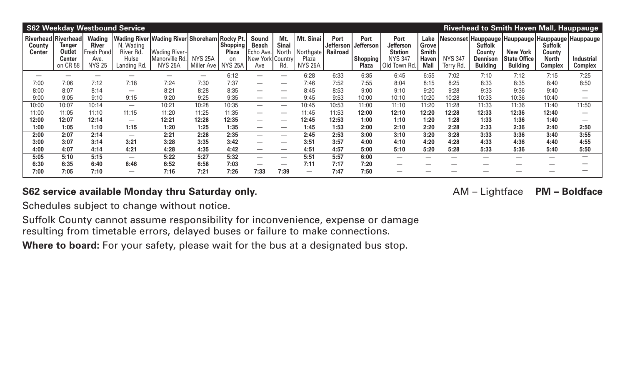|                                |                                                                                    |                                                                      | <b>S62 Weekday Westbound Service</b>           |                                                                                                       |                              |                                                                              |                                                                      |                              |                                                   |                                             |                                                             |                                                                       |                                                       |                             |                                                                | <b>Riverhead to Smith Haven Mall, Hauppauge</b>                                                                     |                                                            |                                     |
|--------------------------------|------------------------------------------------------------------------------------|----------------------------------------------------------------------|------------------------------------------------|-------------------------------------------------------------------------------------------------------|------------------------------|------------------------------------------------------------------------------|----------------------------------------------------------------------|------------------------------|---------------------------------------------------|---------------------------------------------|-------------------------------------------------------------|-----------------------------------------------------------------------|-------------------------------------------------------|-----------------------------|----------------------------------------------------------------|---------------------------------------------------------------------------------------------------------------------|------------------------------------------------------------|-------------------------------------|
| <b>County</b><br><b>Center</b> | <b>Riverhead Riverhead</b><br><b>Tanger</b><br>Outlet<br><b>Center</b><br>on CR 58 | <b>Wading</b><br><b>River</b><br>Fresh Pond<br>Ave.<br><b>NYS 25</b> | N. Wading<br>River Rd.<br>Hulse<br>Landing Rd. | <b>Wading River Wading River Shoreham</b><br><b>Wading River-</b><br>Manorville Rd.<br><b>NYS 25A</b> | <b>NYS 25A</b><br>Miller Ave | <b>Rocky Pt.</b><br><b>Shopping!</b><br><b>Plaza</b><br>on<br><b>NYS 25A</b> | <b>Sound</b><br><b>Beach</b><br>Echo Ave.<br>New York Country<br>Ave | Mt.<br>Sinai<br>North<br>Rd. | Mt. Sinai<br>Northgate<br>Plaza<br><b>NYS 25A</b> | <b>Port</b><br>Jefferson<br><b>Railroad</b> | Port<br><b>Jefferson</b><br><b>Shopping</b><br><b>Plaza</b> | Port<br>Jefferson<br><b>Station</b><br><b>NYS 347</b><br>Old Town Rd. | Lake<br>Grove<br><b>Smith</b><br>Haven<br><b>Mall</b> | <b>NYS 347</b><br>Terry Rd. | <b>Suffolk</b><br>County<br><b>Dennison</b><br><b>Building</b> | Nesconset   Hauppauge   Hauppauge   Hauppauge   Hauppauge  <br><b>New York</b><br>  State Office<br><b>Building</b> | <b>Suffolk</b><br>County<br><b>North</b><br><b>Complex</b> | <b>Industrial</b><br><b>Complex</b> |
|                                |                                                                                    |                                                                      |                                                |                                                                                                       | $\overline{\phantom{0}}$     | 6:12                                                                         |                                                                      | $\overline{\phantom{m}}$     | 6:28                                              | 6:33                                        | 6:35                                                        | 6:45                                                                  | 6:55                                                  | 7:02                        | 7:10                                                           | 7:12                                                                                                                | 7:15                                                       | 7:25                                |
| 7:00                           | 7:06                                                                               | 7:12                                                                 | 7:18                                           | 7:24                                                                                                  | 7:30                         | 7:37                                                                         |                                                                      | $\overline{\phantom{m}}$     | 7:46                                              | 7:52                                        | 7:55                                                        | 8:04                                                                  | 8:15                                                  | 8:25                        | 8:33                                                           | 8:35                                                                                                                | 8:40                                                       | 8:50                                |
| 8:00                           | 8:07                                                                               | 8:14                                                                 | $\overline{\phantom{0}}$                       | 8:21                                                                                                  | 8:28                         | 8:35                                                                         | $\overline{\phantom{0}}$                                             |                              | 8:45                                              | 8:53                                        | 9:00                                                        | 9:10                                                                  | 9:20                                                  | 9:28                        | 9:33                                                           | 9:36                                                                                                                | 9:40                                                       |                                     |
| 9:00                           | 9:05                                                                               | 9:10                                                                 | 9:15                                           | 9:20                                                                                                  | 9:25                         | 9:35                                                                         | $\overline{\phantom{0}}$                                             |                              | 9:45                                              | 9:53                                        | 10:00                                                       | 10:10                                                                 | 10:20                                                 | 10:28                       | 10:33                                                          | 10:36                                                                                                               | 10:40                                                      |                                     |
| 10:00                          | 10:07                                                                              | 10:14                                                                | $\overline{\phantom{0}}$                       | 10:21                                                                                                 | 10:28                        | 10:35                                                                        |                                                                      | $\overline{\phantom{m}}$     | 10:45                                             | 10:53                                       | 11:00                                                       | 11:10                                                                 | 11:20                                                 | 11:28                       | 11:33                                                          | 11:36                                                                                                               | 11:40                                                      | 11:50                               |
| 11:00                          | 11:05                                                                              | 11:10                                                                | 11:15                                          | 11:20                                                                                                 | 11:25                        | 11:35                                                                        | —                                                                    | $\overline{\phantom{m}}$     | 11:45                                             | 11:53                                       | 12:00                                                       | 12:10                                                                 | 12:20                                                 | 12:28                       | 12:33                                                          | 12:36                                                                                                               | 12:40                                                      |                                     |
| 12:00                          | 12:07                                                                              | 12:14                                                                | $\overline{\phantom{0}}$                       | 12:21                                                                                                 | 12:28                        | 12:35                                                                        |                                                                      | $\overline{\phantom{m}}$     | 12:45                                             | 12:53                                       | 1:00                                                        | 1:10                                                                  | 1:20                                                  | 1:28                        | 1:33                                                           | 1:36                                                                                                                | 1:40                                                       | —                                   |
| 1:00                           | 1:05                                                                               | 1:10                                                                 | 1:15                                           | 1:20                                                                                                  | 1:25                         | 1:35                                                                         | $\overline{\phantom{0}}$                                             | $\overline{\phantom{m}}$     | 1:45                                              | 1:53                                        | 2:00                                                        | 2:10                                                                  | 2:20                                                  | 2:28                        | 2:33                                                           | 2:36                                                                                                                | 2:40                                                       | 2:50                                |
| 2:00                           | 2:07                                                                               | 2:14                                                                 | $\overline{\phantom{0}}$                       | 2:21                                                                                                  | 2:28                         | 2:35                                                                         | $\overline{\phantom{0}}$                                             | $\overline{\phantom{m}}$     | 2:45                                              | 2:53                                        | 3:00                                                        | 3:10                                                                  | 3:20                                                  | 3:28                        | 3:33                                                           | 3:36                                                                                                                | 3:40                                                       | 3:55                                |
| 3:00                           | 3:07                                                                               | 3:14                                                                 | 3:21                                           | 3:28                                                                                                  | 3:35                         | 3:42                                                                         |                                                                      | $\overline{\phantom{m}}$     | 3:51                                              | 3:57                                        | 4:00                                                        | 4:10                                                                  | 4:20                                                  | 4:28                        | 4:33                                                           | 4:36                                                                                                                | 4:40                                                       | 4:55                                |
| 4:00                           | 4:07                                                                               | 4:14                                                                 | 4:21                                           | 4:28                                                                                                  | 4:35                         | 4:42                                                                         |                                                                      |                              | 4:51                                              | 4:57                                        | 5:00                                                        | 5:10                                                                  | 5:20                                                  | 5:28                        | 5:33                                                           | 5:36                                                                                                                | 5:40                                                       | 5:50                                |
| 5:05                           | 5:10                                                                               | 5:15                                                                 | $\overline{\phantom{0}}$                       | 5:22                                                                                                  | 5:27                         | 5:32                                                                         | $\overline{\phantom{0}}$                                             |                              | 5:51                                              | 5:57                                        | 6:00                                                        |                                                                       |                                                       |                             |                                                                | —                                                                                                                   |                                                            |                                     |
| 6:30                           | 6:35                                                                               | 6:40                                                                 | 6:46                                           | 6:52                                                                                                  | 6:58                         | 7:03                                                                         |                                                                      |                              | 7:11                                              | 7:17                                        | 7:20                                                        |                                                                       |                                                       |                             |                                                                |                                                                                                                     |                                                            |                                     |
| 7:00                           | 7:05                                                                               | 7:10                                                                 | $\overline{\phantom{0}}$                       | 7:16                                                                                                  | 7:21                         | 7:26                                                                         | 7:33                                                                 | 7:39                         | $\overline{\phantom{m}}$                          | 7:47                                        | 7:50                                                        |                                                                       |                                                       |                             |                                                                |                                                                                                                     |                                                            |                                     |

#### **S62 service available Monday thru Saturday only.** The same of the same of the AM – Lightface PM – Boldface

Schedules subject to change without notice.

Suffolk County cannot assume responsibility for inconvenience, expense or damage resulting from timetable errors, delayed buses or failure to make connections.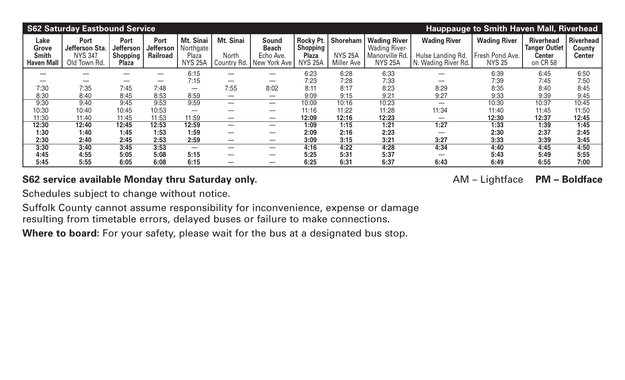|                                                    | <b>S62 Saturday Eastbound Service</b><br><b>Hauppauge to Smith Haven Mall, Riverhead</b> |                                                             |                                                    |                                                   |                          |                                                                         |                                                                         |                                                        |                                                                                 |                                                                 |                                                         |                                                                |                                                    |  |
|----------------------------------------------------|------------------------------------------------------------------------------------------|-------------------------------------------------------------|----------------------------------------------------|---------------------------------------------------|--------------------------|-------------------------------------------------------------------------|-------------------------------------------------------------------------|--------------------------------------------------------|---------------------------------------------------------------------------------|-----------------------------------------------------------------|---------------------------------------------------------|----------------------------------------------------------------|----------------------------------------------------|--|
| Lake<br>Grove<br><b>Smith</b><br><b>Haven Mall</b> | <b>Port</b><br>Jefferson Sta.<br><b>NYS 347</b><br>Old Town Rd.                          | Port<br><b>Jefferson</b><br><b>Shopping</b><br><b>Plaza</b> | <b>Port</b><br><b>Jefferson</b><br><b>Railroad</b> | Mt. Sinai<br>Northgate<br>Plaza<br><b>NYS 25A</b> | Mt. Sinai<br>North       | <b>Sound</b><br><b>Beach</b><br>Echo Ave.<br>Country Rd.   New York Ave | <b>Rocky Pt.</b><br><b>Shopping</b> '<br><b>Plaza</b><br><b>NYS 25A</b> | <b>Shoreham</b><br><b>NYS 25A</b><br><b>Miller Ave</b> | <b>Wading River</b><br><b>Wading River-</b><br>Manorville Rd.<br><b>NYS 25A</b> | <b>Wading River</b><br>Hulse Landing Rd.<br>N. Wading River Rd. | <b>Wading River</b><br>Fresh Pond Ave.<br><b>NYS 25</b> | <b>Riverhead</b><br><b>Tanger Outlet</b><br>Center<br>on CR 58 | <b>Riverhead</b><br><b>County</b><br><b>Center</b> |  |
|                                                    |                                                                                          |                                                             |                                                    | 6:15                                              | –                        |                                                                         | 6:23                                                                    | 6:28                                                   | 6:33                                                                            |                                                                 | 6:39                                                    | 6:45                                                           | 6:50                                               |  |
|                                                    |                                                                                          | —                                                           |                                                    | 7:15                                              |                          |                                                                         | 7:23                                                                    | 7:28                                                   | 7:33                                                                            |                                                                 | 7:39                                                    | 7:45                                                           | 7:50                                               |  |
| 7:30                                               | 7:35                                                                                     | 7:45                                                        | 7:48                                               |                                                   | 7:55                     | 8:02                                                                    | 8:11                                                                    | 8:17                                                   | 8:23                                                                            | 8:29                                                            | 8:35                                                    | 8:40                                                           | 8:45                                               |  |
| 8:30                                               | 8:40                                                                                     | 8:45                                                        | 8:53                                               | 8:59                                              |                          |                                                                         | 9:09                                                                    | 9:15                                                   | 9:21                                                                            | 9:27                                                            | 9:33                                                    | 9:39                                                           | 9:45                                               |  |
| 9:30                                               | 9:40                                                                                     | 9:45                                                        | 9:53                                               | 9:59                                              |                          | $\overline{\phantom{0}}$                                                | 10:09                                                                   | 10:16                                                  | 10:23                                                                           |                                                                 | 10:30                                                   | 10:37                                                          | 10:45                                              |  |
| 10:30                                              | 10:40                                                                                    | 10:45                                                       | 10:53                                              | $\overline{\phantom{0}}$                          |                          |                                                                         | 11:16                                                                   | 11:22                                                  | 11:28                                                                           | 11:34                                                           | 11:40                                                   | 11:45                                                          | 11:50                                              |  |
| 11:30                                              | 11:40                                                                                    | 11:45                                                       | 11:53                                              | 11:59                                             | $\overline{\phantom{m}}$ |                                                                         | 12:09                                                                   | 12:16                                                  | 12:23                                                                           |                                                                 | 12:30                                                   | 12:37                                                          | 12:45                                              |  |
| 12:30                                              | 12:40                                                                                    | 12:45                                                       | 12:53                                              | 12:59                                             |                          |                                                                         | 1:09                                                                    | 1:15                                                   | 1:21                                                                            | 1:27                                                            | 1:33                                                    | 1:39                                                           | 1:45                                               |  |
| 1:30                                               | 1:40                                                                                     | 1:45                                                        | 1:53                                               | 1:59                                              | —                        |                                                                         | 2:09                                                                    | 2:16                                                   | 2:23                                                                            |                                                                 | 2:30                                                    | 2:37                                                           | 2:45                                               |  |
| 2:30                                               | 2:40                                                                                     | 2:45                                                        | 2:53                                               | 2:59                                              |                          |                                                                         | 3:09                                                                    | 3:15                                                   | 3:21                                                                            | 3:27                                                            | 3:33                                                    | 3:39                                                           | 3:45                                               |  |
| 3:30                                               | 3:40                                                                                     | 3:45                                                        | 3:53                                               |                                                   |                          |                                                                         | 4:16                                                                    | 4:22                                                   | 4:28                                                                            | 4:34                                                            | 4:40                                                    | 4:45                                                           | 4:50                                               |  |
| 4:45                                               | 4:55                                                                                     | 5:05                                                        | 5:08                                               | 5:15                                              |                          |                                                                         | 5:25                                                                    | 5:31                                                   | 5:37                                                                            |                                                                 | 5:43                                                    | 5:49                                                           | 5:55                                               |  |
| 5:45                                               | 5:55                                                                                     | 6:05                                                        | 6:08                                               | 6:15                                              |                          |                                                                         | 6:25                                                                    | 6:31                                                   | 6:37                                                                            | 6:43                                                            | 6:49                                                    | 6:55                                                           | 7:00                                               |  |

## **S62 service available Monday thru Saturday only. AM – Lightface PM – Boldface**

Schedules subject to change without notice.

Suffolk County cannot assume responsibility for inconvenience, expense or damage resulting from timetable errors, delayed buses or failure to make connections.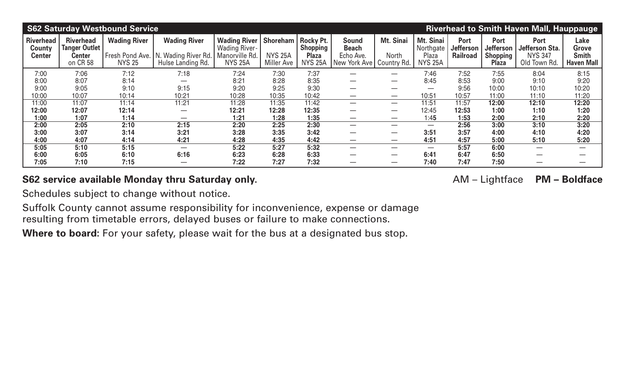|                                             | <b>S62 Saturday Westbound Service</b><br><b>Riverhead to Smith Haven Mall, Hauppauge</b> |                                                           |                                                                 |                                                                                |                                                 |                                                                              |                                                           |                                   |                                                   |                                             |                                                             |                                                          |                                                    |  |
|---------------------------------------------|------------------------------------------------------------------------------------------|-----------------------------------------------------------|-----------------------------------------------------------------|--------------------------------------------------------------------------------|-------------------------------------------------|------------------------------------------------------------------------------|-----------------------------------------------------------|-----------------------------------|---------------------------------------------------|---------------------------------------------|-------------------------------------------------------------|----------------------------------------------------------|----------------------------------------------------|--|
| <b>Riverhead</b><br>County<br><b>Center</b> | <b>Riverhead</b><br><b>Tanger Outlet</b><br>Center<br>on CR 58                           | <b>Wading River</b><br>Fresh Pond Ave.  <br><b>NYS 25</b> | <b>Wading River</b><br>N. Wading River Rd.<br>Hulse Landing Rd. | <b>Wading River</b><br><b>Wading River-</b><br>Manorville Rd<br><b>NYS 25A</b> | Shoreham<br><b>NYS 25A</b><br><b>Miller Ave</b> | <b>Rocky Pt.</b><br>(Shopping <sup>)</sup><br><b>Plaza</b><br><b>NYS 25A</b> | <b>Sound</b><br><b>Beach</b><br>Echo Ave.<br>New York Ave | Mt. Sinai<br>North<br>Country Rd. | Mt. Sinai<br>Northgate<br>Plaza<br><b>NYS 25A</b> | <b>Port</b><br>Jefferson<br><b>Railroad</b> | <b>Port</b><br><b>Jefferson</b><br>Shopping<br><b>Plaza</b> | Port<br>Jefferson Sta.<br><b>NYS 347</b><br>Old Town Rd. | Lake<br>Grove<br><b>Smith</b><br><b>Haven Mall</b> |  |
| 7:00                                        | 7:06                                                                                     | 7:12                                                      | 7:18                                                            | 7:24                                                                           | 7:30                                            | 7:37                                                                         |                                                           |                                   | 7:46                                              | 7:52                                        | 7:55                                                        | 8:04                                                     | 8:15                                               |  |
| 8:00                                        | 8:07                                                                                     | 8:14                                                      |                                                                 | 8:21                                                                           | 8:28                                            | 8:35                                                                         |                                                           |                                   | 8:45                                              | 8:53                                        | 9:00                                                        | 9:10                                                     | 9:20                                               |  |
| 9:00                                        | 9:05                                                                                     | 9:10                                                      | 9:15                                                            | 9:20                                                                           | 9:25                                            | 9:30                                                                         |                                                           |                                   |                                                   | 9:56                                        | 10:00                                                       | 10:10                                                    | 10:20                                              |  |
| 10:00                                       | 10:07                                                                                    | 10:14                                                     | 10:21                                                           | 10:28                                                                          | 10:35                                           | 10:42                                                                        |                                                           |                                   | 10:51                                             | 10:57                                       | 11:00                                                       | 11:10                                                    | 11:20                                              |  |
| 11:00                                       | 11:07                                                                                    | 11:14                                                     | 11:21                                                           | 11:28                                                                          | 11:35                                           | 11:42                                                                        |                                                           | $\overline{\phantom{0}}$          | 11:51                                             | 11:57                                       | 12:00                                                       | 12:10                                                    | 12:20                                              |  |
| 12:00                                       | 12:07                                                                                    | 12:14                                                     |                                                                 | 12:21                                                                          | 12:28                                           | 12:35                                                                        |                                                           |                                   | 12:45                                             | 12:53                                       | 1:00                                                        | 1:10                                                     | 1:20                                               |  |
| 1:00                                        | 1:07                                                                                     | 1:14                                                      |                                                                 | 1:21                                                                           | 1:28                                            | 1:35                                                                         |                                                           |                                   | 1:45                                              | 1:53                                        | 2:00                                                        | 2:10                                                     | 2:20                                               |  |
| 2:00                                        | 2:05                                                                                     | 2:10                                                      | 2:15                                                            | 2:20                                                                           | 2:25                                            | 2:30                                                                         |                                                           |                                   |                                                   | 2:56                                        | 3:00                                                        | 3:10                                                     | 3:20                                               |  |
| 3:00                                        | 3:07                                                                                     | 3:14                                                      | 3:21                                                            | 3:28                                                                           | 3:35                                            | 3:42                                                                         |                                                           |                                   | 3:51                                              | 3:57                                        | 4:00                                                        | 4:10                                                     | 4:20                                               |  |
| 4:00                                        | 4:07                                                                                     | 4:14                                                      | 4:21                                                            | 4:28                                                                           | 4:35                                            | 4:42                                                                         |                                                           |                                   | 4:51                                              | 4:57                                        | 5:00                                                        | 5:10                                                     | 5:20                                               |  |
| 5:05                                        | 5:10                                                                                     | 5:15                                                      | $\overbrace{\phantom{12333}}$                                   | 5:22                                                                           | 5:27                                            | 5:32                                                                         | —                                                         |                                   |                                                   | 5:57                                        | 6:00                                                        |                                                          |                                                    |  |
| 6:00                                        | 6:05                                                                                     | 6:10                                                      | 6:16                                                            | 6:23                                                                           | 6:28                                            | 6:33                                                                         |                                                           |                                   | 6:41                                              | 6:47                                        | 6:50                                                        |                                                          |                                                    |  |
| 7:05                                        | 7:10                                                                                     | 7:15                                                      |                                                                 | 7:22                                                                           | 7:27                                            | 7:32                                                                         |                                                           |                                   | 7:40                                              | 7:47                                        | 7:50                                                        |                                                          |                                                    |  |

## **S62 service available Monday thru Saturday only. AM – Lightface PM – Boldface**

Schedules subject to change without notice.

Suffolk County cannot assume responsibility for inconvenience, expense or damage resulting from timetable errors, delayed buses or failure to make connections.